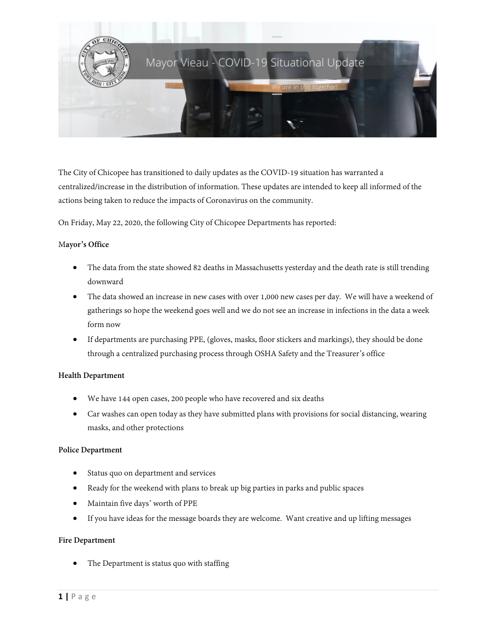

The City of Chicopee has transitioned to daily updates as the COVID-19 situation has warranted a centralized/increase in the distribution of information. These updates are intended to keep all informed of the actions being taken to reduce the impacts of Coronavirus on the community.

On Friday, May 22, 2020, the following City of Chicopee Departments has reported:

### M**ayor's Office**

- The data from the state showed 82 deaths in Massachusetts yesterday and the death rate is still trending downward
- The data showed an increase in new cases with over 1,000 new cases per day. We will have a weekend of gatherings so hope the weekend goes well and we do not see an increase in infections in the data a week form now
- If departments are purchasing PPE, (gloves, masks, floor stickers and markings), they should be done through a centralized purchasing process through OSHA Safety and the Treasurer's office

# **Health Department**

- We have 144 open cases, 200 people who have recovered and six deaths
- Car washes can open today as they have submitted plans with provisions for social distancing, wearing masks, and other protections

#### **Police Department**

- Status quo on department and services
- Ready for the weekend with plans to break up big parties in parks and public spaces
- Maintain five days' worth of PPE
- If you have ideas for the message boards they are welcome. Want creative and up lifting messages

### **Fire Department**

The Department is status quo with staffing